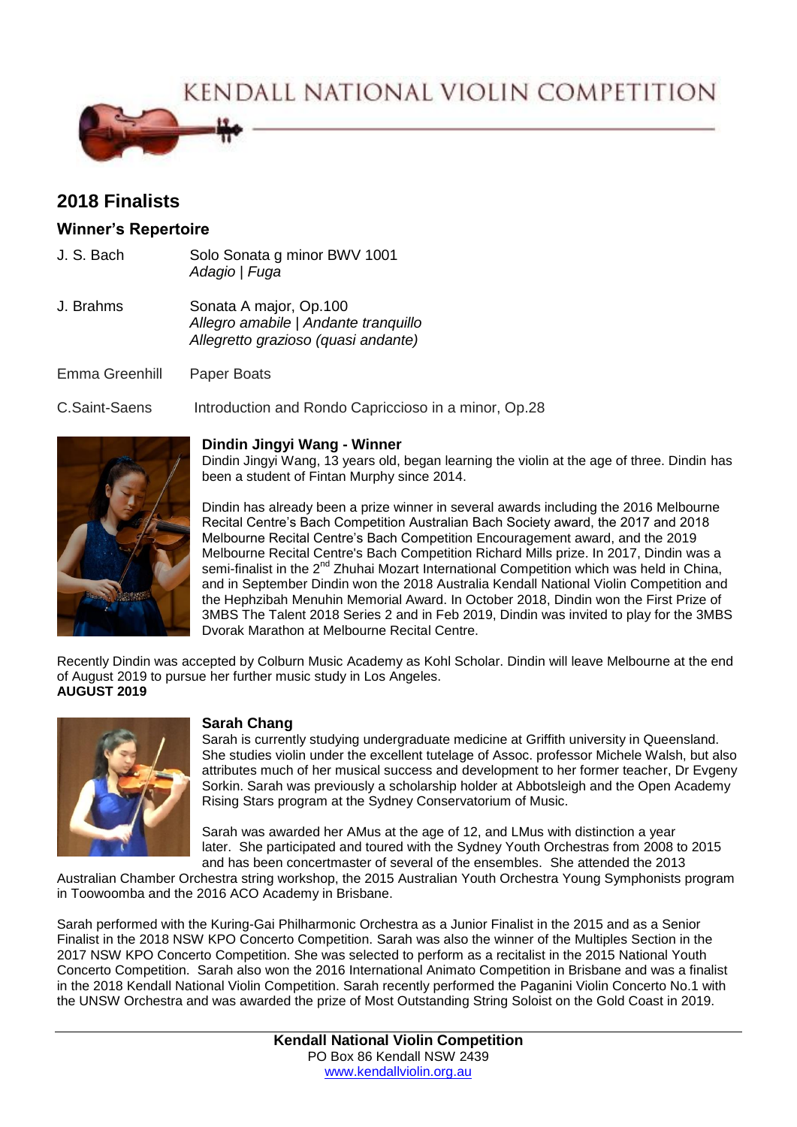KENDALL NATIONAL VIOLIN COMPETITION



# **2018 Finalists**

## **Winner's Repertoire**

J. S. Bach Solo Sonata g minor BWV 1001 *Adagio* | *Fuga* J. Brahms Sonata A major, Op.100 *Allegro amabile* | *Andante tranquillo Allegretto grazioso (quasi andante)*

Emma Greenhill Paper Boats

C.Saint-Saens Introduction and Rondo Capriccioso in a minor, Op.28



#### **Dindin Jingyi Wang - Winner**

Dindin Jingyi Wang, 13 years old, began learning the violin at the age of three. Dindin has been a student of Fintan Murphy since 2014.

Dindin has already been a prize winner in several awards including the 2016 Melbourne Recital Centre's Bach Competition Australian Bach Society award, the 2017 and 2018 Melbourne Recital Centre's Bach Competition Encouragement award, and the 2019 Melbourne Recital Centre's Bach Competition Richard Mills prize. In 2017, Dindin was a semi-finalist in the  $2<sup>nd</sup>$  Zhuhai Mozart International Competition which was held in China, and in September Dindin won the 2018 Australia Kendall National Violin Competition and the Hephzibah Menuhin Memorial Award. In October 2018, Dindin won the First Prize of 3MBS The Talent 2018 Series 2 and in Feb 2019, Dindin was invited to play for the 3MBS Dvorak Marathon at Melbourne Recital Centre.

Recently Dindin was accepted by Colburn Music Academy as Kohl Scholar. Dindin will leave Melbourne at the end of August 2019 to pursue her further music study in Los Angeles. **AUGUST 2019**



## **Sarah Chang**

Sarah is currently studying undergraduate medicine at Griffith university in Queensland. She studies violin under the excellent tutelage of Assoc. professor Michele Walsh, but also attributes much of her musical success and development to her former teacher, Dr Evgeny Sorkin. Sarah was previously a scholarship holder at Abbotsleigh and the Open Academy Rising Stars program at the Sydney Conservatorium of Music.

Sarah was awarded her AMus at the age of 12, and LMus with distinction a year later. She participated and toured with the Sydney Youth Orchestras from 2008 to 2015 and has been concertmaster of several of the ensembles. She attended the 2013

Australian Chamber Orchestra string workshop, the 2015 Australian Youth Orchestra Young Symphonists program in Toowoomba and the 2016 ACO Academy in Brisbane.

Sarah performed with the Kuring-Gai Philharmonic Orchestra as a Junior Finalist in the 2015 and as a Senior Finalist in the 2018 NSW KPO Concerto Competition. Sarah was also the winner of the Multiples Section in the 2017 NSW KPO Concerto Competition. She was selected to perform as a recitalist in the 2015 National Youth Concerto Competition. Sarah also won the 2016 International Animato Competition in Brisbane and was a finalist in the 2018 Kendall National Violin Competition. Sarah recently performed the Paganini Violin Concerto No.1 with the UNSW Orchestra and was awarded the prize of Most Outstanding String Soloist on the Gold Coast in 2019.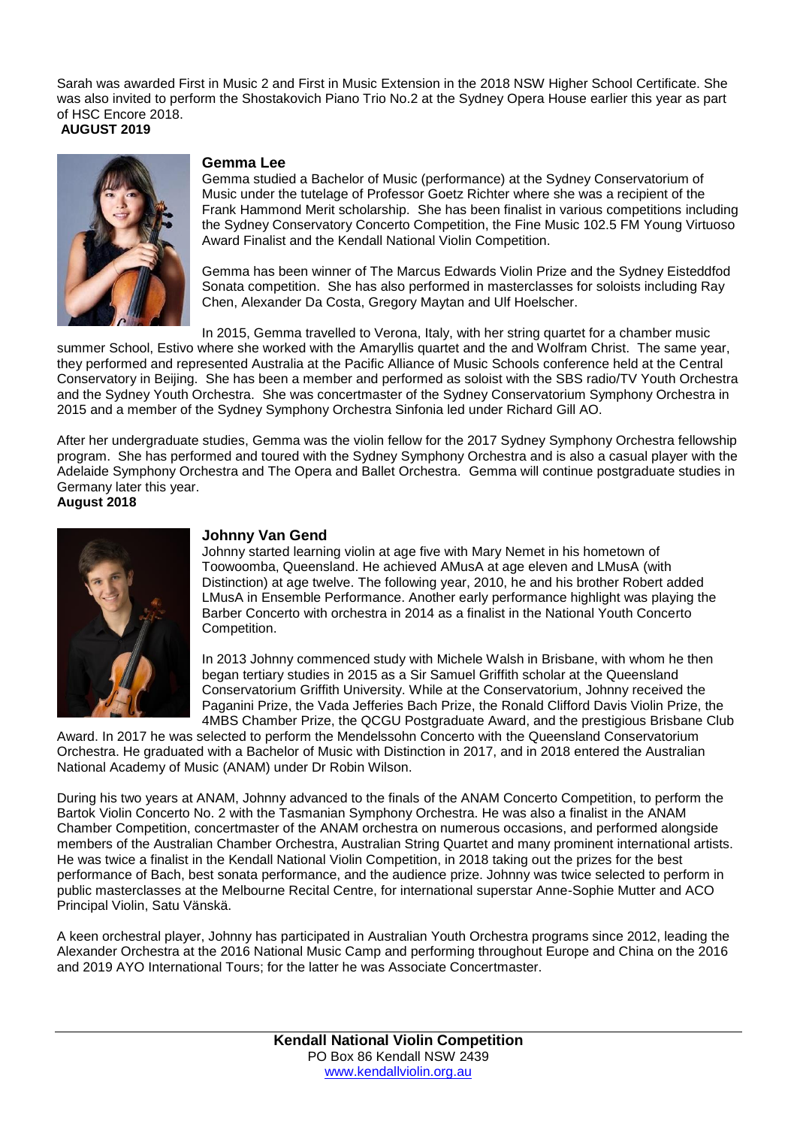Sarah was awarded First in Music 2 and First in Music Extension in the 2018 NSW Higher School Certificate. She was also invited to perform the Shostakovich Piano Trio No.2 at the Sydney Opera House earlier this year as part of HSC Encore 2018. **AUGUST 2019**



#### **Gemma Lee**

Gemma studied a Bachelor of Music (performance) at the Sydney Conservatorium of Music under the tutelage of Professor Goetz Richter where she was a recipient of the Frank Hammond Merit scholarship. She has been finalist in various competitions including the Sydney Conservatory Concerto Competition, the Fine Music 102.5 FM Young Virtuoso Award Finalist and the Kendall National Violin Competition.

Gemma has been winner of The Marcus Edwards Violin Prize and the Sydney Eisteddfod Sonata competition. She has also performed in masterclasses for soloists including Ray Chen, Alexander Da Costa, Gregory Maytan and Ulf Hoelscher.

In 2015, Gemma travelled to Verona, Italy, with her string quartet for a chamber music summer School, Estivo where she worked with the Amaryllis quartet and the and Wolfram Christ. The same year, they performed and represented Australia at the Pacific Alliance of Music Schools conference held at the Central Conservatory in Beijing. She has been a member and performed as soloist with the SBS radio/TV Youth Orchestra and the Sydney Youth Orchestra. She was concertmaster of the Sydney Conservatorium Symphony Orchestra in 2015 and a member of the Sydney Symphony Orchestra Sinfonia led under Richard Gill AO.

After her undergraduate studies, Gemma was the violin fellow for the 2017 Sydney Symphony Orchestra fellowship program. She has performed and toured with the Sydney Symphony Orchestra and is also a casual player with the Adelaide Symphony Orchestra and The Opera and Ballet Orchestra. Gemma will continue postgraduate studies in Germany later this year.

**August 2018**



### **Johnny Van Gend**

Johnny started learning violin at age five with Mary Nemet in his hometown of Toowoomba, Queensland. He achieved AMusA at age eleven and LMusA (with Distinction) at age twelve. The following year, 2010, he and his brother Robert added LMusA in Ensemble Performance. Another early performance highlight was playing the Barber Concerto with orchestra in 2014 as a finalist in the National Youth Concerto Competition.

In 2013 Johnny commenced study with Michele Walsh in Brisbane, with whom he then began tertiary studies in 2015 as a Sir Samuel Griffith scholar at the Queensland Conservatorium Griffith University. While at the Conservatorium, Johnny received the Paganini Prize, the Vada Jefferies Bach Prize, the Ronald Clifford Davis Violin Prize, the 4MBS Chamber Prize, the QCGU Postgraduate Award, and the prestigious Brisbane Club

Award. In 2017 he was selected to perform the Mendelssohn Concerto with the Queensland Conservatorium Orchestra. He graduated with a Bachelor of Music with Distinction in 2017, and in 2018 entered the Australian National Academy of Music (ANAM) under Dr Robin Wilson.

During his two years at ANAM, Johnny advanced to the finals of the ANAM Concerto Competition, to perform the Bartok Violin Concerto No. 2 with the Tasmanian Symphony Orchestra. He was also a finalist in the ANAM Chamber Competition, concertmaster of the ANAM orchestra on numerous occasions, and performed alongside members of the Australian Chamber Orchestra, Australian String Quartet and many prominent international artists. He was twice a finalist in the Kendall National Violin Competition, in 2018 taking out the prizes for the best performance of Bach, best sonata performance, and the audience prize. Johnny was twice selected to perform in public masterclasses at the Melbourne Recital Centre, for international superstar Anne-Sophie Mutter and ACO Principal Violin, Satu Vänskä.

A keen orchestral player, Johnny has participated in Australian Youth Orchestra programs since 2012, leading the Alexander Orchestra at the 2016 National Music Camp and performing throughout Europe and China on the 2016 and 2019 AYO International Tours; for the latter he was Associate Concertmaster.